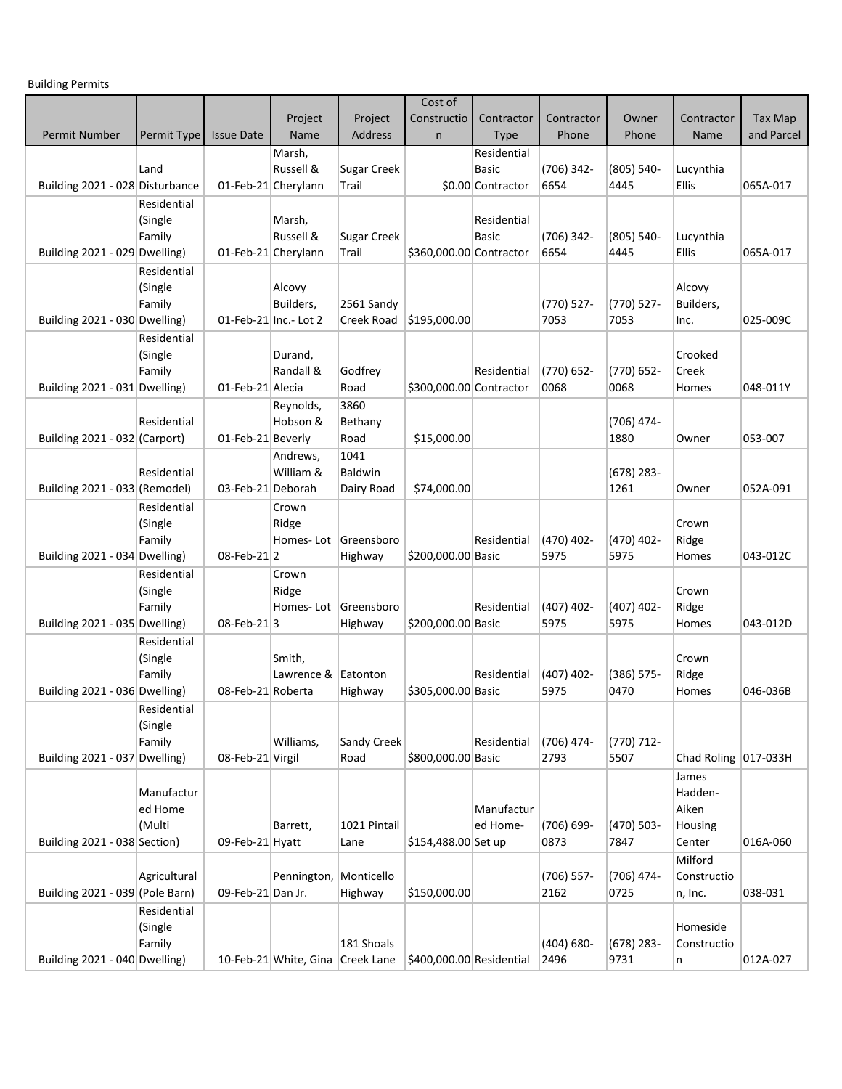Building Permits

|                                 |              |                   |                                  |                      | Cost of                  |                   |                    |                       |                      |            |
|---------------------------------|--------------|-------------------|----------------------------------|----------------------|--------------------------|-------------------|--------------------|-----------------------|----------------------|------------|
|                                 |              |                   | Project                          | Project              | Constructio              | Contractor        | Contractor         | Owner                 | Contractor           | Tax Map    |
| Permit Number                   | Permit Type  | <b>Issue Date</b> | Name                             | <b>Address</b>       | $\mathsf{n}$             | <b>Type</b>       | Phone              | Phone                 | Name                 | and Parcel |
|                                 |              |                   | Marsh,                           |                      |                          | Residential       |                    |                       |                      |            |
|                                 | Land         |                   | Russell &                        | <b>Sugar Creek</b>   |                          | Basic             | (706) 342-         | $(805) 540 -$         | Lucynthia            |            |
| Building 2021 - 028 Disturbance |              |                   | 01-Feb-21 Cherylann              | Trail                |                          | \$0.00 Contractor | 6654               | 4445                  | Ellis                | 065A-017   |
|                                 | Residential  |                   |                                  |                      |                          |                   |                    |                       |                      |            |
|                                 |              |                   | Marsh,                           |                      |                          | Residential       |                    |                       |                      |            |
|                                 | (Single      |                   | Russell &                        |                      |                          | <b>Basic</b>      |                    |                       |                      |            |
| Building 2021 - 029 Dwelling)   | Family       |                   | 01-Feb-21 Cherylann              | Sugar Creek<br>Trail | \$360,000.00 Contractor  |                   | (706) 342-<br>6654 | $(805) 540 -$<br>4445 | Lucynthia<br>Ellis   | 065A-017   |
|                                 |              |                   |                                  |                      |                          |                   |                    |                       |                      |            |
|                                 | Residential  |                   |                                  |                      |                          |                   |                    |                       |                      |            |
|                                 | (Single      |                   | Alcovy                           |                      |                          |                   |                    |                       | Alcovy               |            |
|                                 | Family       |                   | Builders,                        | 2561 Sandy           |                          |                   | $(770)$ 527-       | $(770)$ 527-          | Builders,            |            |
| Building 2021 - 030 Dwelling)   |              |                   | 01-Feb-21 Inc.- Lot 2            | Creek Road           | \$195,000.00             |                   | 7053               | 7053                  | Inc.                 | 025-009C   |
|                                 | Residential  |                   |                                  |                      |                          |                   |                    |                       |                      |            |
|                                 | (Single      |                   | Durand,                          |                      |                          |                   |                    |                       | Crooked              |            |
|                                 | Family       |                   | Randall &                        | Godfrey              |                          | Residential       | (770) 652-         | $(770) 652 -$         | Creek                |            |
| Building 2021 - 031 Dwelling)   |              | 01-Feb-21 Alecia  |                                  | Road                 | \$300,000.00 Contractor  |                   | 0068               | 0068                  | Homes                | 048-011Y   |
|                                 |              |                   | Reynolds,                        | 3860                 |                          |                   |                    |                       |                      |            |
|                                 | Residential  |                   | Hobson &                         | Bethany              |                          |                   |                    | $(706)$ 474-          |                      |            |
| Building 2021 - 032 (Carport)   |              | 01-Feb-21 Beverly |                                  | Road                 | \$15,000.00              |                   |                    | 1880                  | Owner                | 053-007    |
|                                 |              |                   | Andrews,                         | 1041                 |                          |                   |                    |                       |                      |            |
|                                 | Residential  |                   | William &                        | Baldwin              |                          |                   |                    | $(678)$ 283-          |                      |            |
| Building 2021 - 033 (Remodel)   |              | 03-Feb-21 Deborah |                                  | Dairy Road           | \$74,000.00              |                   |                    | 1261                  | Owner                | 052A-091   |
|                                 | Residential  |                   | Crown                            |                      |                          |                   |                    |                       |                      |            |
|                                 | (Single      |                   | Ridge                            |                      |                          |                   |                    |                       | Crown                |            |
|                                 | Family       |                   | Homes-Lot                        | Greensboro           |                          | Residential       | (470) 402-         | $(470)$ 402-          | Ridge                |            |
| Building 2021 - 034 Dwelling)   |              | 08-Feb-21 2       |                                  | Highway              | \$200,000.00 Basic       |                   | 5975               | 5975                  | Homes                | 043-012C   |
|                                 | Residential  |                   | Crown                            |                      |                          |                   |                    |                       |                      |            |
|                                 | (Single      |                   | Ridge                            |                      |                          |                   |                    |                       | Crown                |            |
|                                 | Family       |                   |                                  | Homes-Lot Greensboro |                          | Residential       | $(407)$ 402-       | $(407)$ 402-          | Ridge                |            |
| Building 2021 - 035 Dwelling)   |              | 08-Feb-213        |                                  | Highway              | \$200,000.00 Basic       |                   | 5975               | 5975                  | Homes                | 043-012D   |
|                                 | Residential  |                   |                                  |                      |                          |                   |                    |                       |                      |            |
|                                 | (Single      |                   | Smith,                           |                      |                          |                   |                    |                       | Crown                |            |
|                                 | Family       |                   | Lawrence & Eatonton              |                      |                          | Residential       | $(407)$ 402-       | $(386) 575 -$         | Ridge                |            |
| Building 2021 - 036 Dwelling)   |              | 08-Feb-21 Roberta |                                  | Highway              | \$305,000.00 Basic       |                   | 5975               | 0470                  | Homes                | 046-036B   |
|                                 | Residential  |                   |                                  |                      |                          |                   |                    |                       |                      |            |
|                                 | (Single      |                   |                                  |                      |                          |                   |                    |                       |                      |            |
|                                 | Family       |                   | Williams,                        | Sandy Creek          |                          | Residential       | (706) 474-         | $(770)$ 712-          |                      |            |
| Building 2021 - 037 Dwelling)   |              | 08-Feb-21 Virgil  |                                  | Road                 | \$800,000.00 Basic       |                   | 2793               | 5507                  | Chad Roling 017-033H |            |
|                                 |              |                   |                                  |                      |                          |                   |                    |                       |                      |            |
|                                 |              |                   |                                  |                      |                          |                   |                    |                       | James                |            |
|                                 | Manufactur   |                   |                                  |                      |                          |                   |                    |                       | Hadden-              |            |
|                                 | ed Home      |                   |                                  |                      |                          | Manufactur        |                    |                       | Aiken                |            |
|                                 | (Multi       |                   | Barrett,                         | 1021 Pintail         |                          | ed Home-          | (706) 699-         | $(470)$ 503-          | Housing              |            |
| Building 2021 - 038 Section)    |              | 09-Feb-21 Hyatt   |                                  | Lane                 | \$154,488.00 Set up      |                   | 0873               | 7847                  | Center               | 016A-060   |
|                                 |              |                   |                                  |                      |                          |                   |                    |                       | Milford              |            |
|                                 | Agricultural |                   | Pennington, Monticello           |                      |                          |                   | $(706)$ 557-       | $(706)$ 474-          | Constructio          |            |
| Building 2021 - 039 (Pole Barn) |              | 09-Feb-21 Dan Jr. |                                  | Highway              | \$150,000.00             |                   | 2162               | 0725                  | n, Inc.              | 038-031    |
|                                 | Residential  |                   |                                  |                      |                          |                   |                    |                       |                      |            |
|                                 | (Single      |                   |                                  |                      |                          |                   |                    |                       | Homeside             |            |
|                                 | Family       |                   |                                  | 181 Shoals           |                          |                   | $(404) 680 -$      | $(678)$ 283-          | Constructio          |            |
| Building 2021 - 040 Dwelling)   |              |                   | 10-Feb-21 White, Gina Creek Lane |                      | \$400,000.00 Residential |                   | 2496               | 9731                  | n                    | 012A-027   |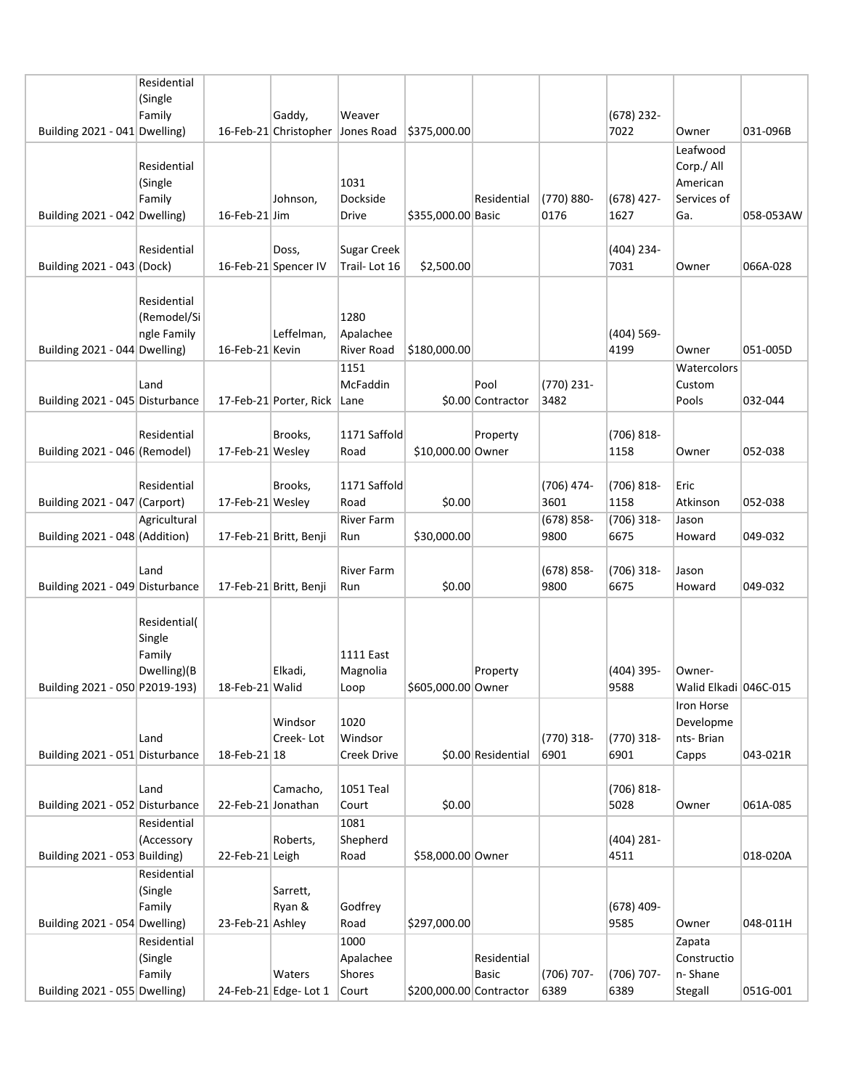|                                 | Residential  |                    |                        |                    |                         |                    |               |               |                       |           |
|---------------------------------|--------------|--------------------|------------------------|--------------------|-------------------------|--------------------|---------------|---------------|-----------------------|-----------|
|                                 | (Single      |                    |                        |                    |                         |                    |               |               |                       |           |
|                                 | Family       |                    | Gaddy,                 | Weaver             |                         |                    |               | $(678)$ 232-  |                       |           |
| Building 2021 - 041 Dwelling)   |              |                    | 16-Feb-21 Christopher  | Jones Road         | \$375,000.00            |                    |               | 7022          | Owner                 | 031-096B  |
|                                 |              |                    |                        |                    |                         |                    |               |               | Leafwood              |           |
|                                 | Residential  |                    |                        |                    |                         |                    |               |               | Corp./ All            |           |
|                                 | (Single      |                    |                        | 1031               |                         |                    |               |               | American              |           |
|                                 | Family       |                    | Johnson,               | Dockside           |                         | Residential        | (770) 880-    | $(678)$ 427-  | Services of           |           |
| Building 2021 - 042 Dwelling)   |              | 16-Feb-21 Jim      |                        | Drive              | \$355,000.00 Basic      |                    | 0176          | 1627          | Ga.                   | 058-053AW |
|                                 |              |                    |                        |                    |                         |                    |               |               |                       |           |
|                                 | Residential  |                    | Doss,                  | <b>Sugar Creek</b> |                         |                    |               | (404) 234-    |                       |           |
| Building 2021 - 043 (Dock)      |              |                    | 16-Feb-21 Spencer IV   | Trail-Lot 16       | \$2,500.00              |                    |               | 7031          | Owner                 | 066A-028  |
|                                 |              |                    |                        |                    |                         |                    |               |               |                       |           |
|                                 | Residential  |                    |                        |                    |                         |                    |               |               |                       |           |
|                                 | (Remodel/Si  |                    |                        | 1280               |                         |                    |               |               |                       |           |
|                                 | ngle Family  |                    | Leffelman,             | Apalachee          |                         |                    |               | $(404) 569 -$ |                       |           |
| Building 2021 - 044 Dwelling)   |              | 16-Feb-21 Kevin    |                        | River Road         | \$180,000.00            |                    |               | 4199          | Owner                 | 051-005D  |
|                                 |              |                    |                        | 1151               |                         |                    |               |               | Watercolors           |           |
|                                 | Land         |                    |                        | McFaddin           |                         | Pool               | (770) 231-    |               | Custom                |           |
| Building 2021 - 045 Disturbance |              |                    | 17-Feb-21 Porter, Rick | Lane               |                         | \$0.00 Contractor  | 3482          |               | Pools                 | 032-044   |
|                                 |              |                    |                        |                    |                         |                    |               |               |                       |           |
|                                 | Residential  |                    | Brooks,                | 1171 Saffold       |                         | Property           |               | $(706) 818 -$ |                       |           |
| Building 2021 - 046 (Remodel)   |              | 17-Feb-21 Wesley   |                        | Road               | \$10,000.00 Owner       |                    |               | 1158          | Owner                 | 052-038   |
|                                 |              |                    |                        |                    |                         |                    |               |               |                       |           |
|                                 | Residential  |                    | Brooks,                | 1171 Saffold       |                         |                    | (706) 474-    | $(706) 818 -$ | Eric                  |           |
| Building 2021 - 047 (Carport)   |              | 17-Feb-21 Wesley   |                        | Road               | \$0.00                  |                    | 3601          | 1158          | Atkinson              | 052-038   |
|                                 |              |                    |                        | <b>River Farm</b>  |                         |                    |               |               |                       |           |
| Building 2021 - 048 (Addition)  | Agricultural |                    |                        |                    |                         |                    | $(678)$ 858-  | $(706)$ 318-  | Jason                 |           |
|                                 |              |                    | 17-Feb-21 Britt, Benji | Run                | \$30,000.00             |                    | 9800          | 6675          | Howard                | 049-032   |
|                                 |              |                    |                        |                    |                         |                    |               |               |                       |           |
|                                 | Land         |                    |                        | <b>River Farm</b>  |                         |                    | $(678) 858 -$ | $(706)$ 318-  | Jason                 |           |
| Building 2021 - 049 Disturbance |              |                    | 17-Feb-21 Britt, Benji | Run                | \$0.00                  |                    | 9800          | 6675          | Howard                | 049-032   |
|                                 |              |                    |                        |                    |                         |                    |               |               |                       |           |
|                                 | Residential( |                    |                        |                    |                         |                    |               |               |                       |           |
|                                 | Single       |                    |                        |                    |                         |                    |               |               |                       |           |
|                                 | Family       |                    |                        | 1111 East          |                         |                    |               |               |                       |           |
|                                 | Dwelling)(B  |                    | Elkadi,                | Magnolia           |                         | Property           |               | $(404)$ 395-  | Owner-                |           |
| Building 2021 - 050 P2019-193)  |              | 18-Feb-21 Walid    |                        | Loop               | \$605,000.00 Owner      |                    |               | 9588          | Walid Elkadi 046C-015 |           |
|                                 |              |                    |                        |                    |                         |                    |               |               | Iron Horse            |           |
|                                 |              |                    | Windsor                | 1020               |                         |                    |               |               | Developme             |           |
|                                 | Land         |                    | Creek-Lot              | Windsor            |                         |                    | (770) 318-    | $(770)$ 318-  | nts-Brian             |           |
| Building 2021 - 051 Disturbance |              | 18-Feb-21 18       |                        | Creek Drive        |                         | \$0.00 Residential | 6901          | 6901          | Capps                 | 043-021R  |
|                                 |              |                    |                        |                    |                         |                    |               |               |                       |           |
|                                 | Land         |                    | Camacho,               | 1051 Teal          |                         |                    |               | $(706) 818 -$ |                       |           |
| Building 2021 - 052 Disturbance |              | 22-Feb-21 Jonathan |                        | Court              | \$0.00                  |                    |               | 5028          | Owner                 | 061A-085  |
|                                 | Residential  |                    |                        | 1081               |                         |                    |               |               |                       |           |
|                                 | (Accessory   |                    | Roberts,               | Shepherd           |                         |                    |               | $(404)$ 281-  |                       |           |
| Building 2021 - 053 Building)   |              | 22-Feb-21 Leigh    |                        | Road               | \$58,000.00 Owner       |                    |               | 4511          |                       | 018-020A  |
|                                 | Residential  |                    |                        |                    |                         |                    |               |               |                       |           |
|                                 | (Single      |                    | Sarrett,               |                    |                         |                    |               |               |                       |           |
|                                 | Family       |                    | Ryan &                 | Godfrey            |                         |                    |               | $(678)$ 409-  |                       |           |
| Building 2021 - 054 Dwelling)   |              | 23-Feb-21 Ashley   |                        | Road               | \$297,000.00            |                    |               | 9585          | Owner                 | 048-011H  |
|                                 | Residential  |                    |                        | 1000               |                         |                    |               |               | Zapata                |           |
|                                 | (Single      |                    |                        | Apalachee          |                         | Residential        |               |               | Constructio           |           |
|                                 | Family       |                    | Waters                 | <b>Shores</b>      |                         | Basic              | (706) 707-    | $(706)$ 707-  | n-Shane               |           |
| Building 2021 - 055 Dwelling)   |              |                    | 24-Feb-21 Edge- Lot 1  | Court              | \$200,000.00 Contractor |                    | 6389          | 6389          | Stegall               | 051G-001  |
|                                 |              |                    |                        |                    |                         |                    |               |               |                       |           |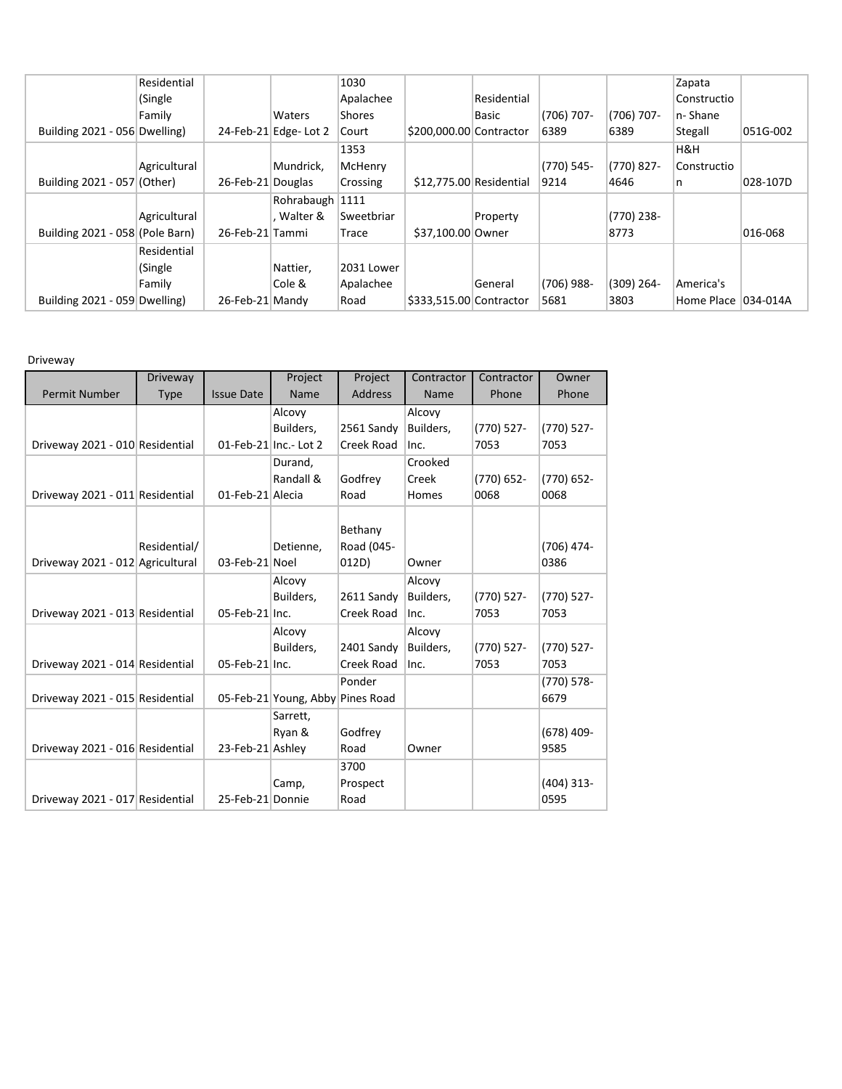|                                 | Residential  |                   |                      | 1030       |                         |              |              |              | Zapata      |          |
|---------------------------------|--------------|-------------------|----------------------|------------|-------------------------|--------------|--------------|--------------|-------------|----------|
|                                 | (Single      |                   |                      | Apalachee  |                         | Residential  |              |              | Constructio |          |
|                                 | Family       |                   | Waters               | Shores     |                         | <b>Basic</b> | $(706)$ 707- | $(706)$ 707- | n-Shane     |          |
| Building 2021 - 056 Dwelling)   |              |                   | 24-Feb-21 Edge-Lot 2 | Court      | \$200,000.00 Contractor |              | 6389         | 6389         | Stegall     | 051G-002 |
|                                 |              |                   |                      | 1353       |                         |              |              |              | H&H         |          |
|                                 | Agricultural |                   | Mundrick,            | McHenry    |                         |              | $(770)$ 545- | $(770)$ 827- | Constructio |          |
| Building 2021 - 057 (Other)     |              | 26-Feb-21 Douglas |                      | Crossing   | \$12,775.00 Residential |              | 9214         | 4646         | n           | 028-107D |
|                                 |              |                   | Rohrabaugh 1111      |            |                         |              |              |              |             |          |
|                                 | Agricultural |                   | . Walter &           | Sweetbriar |                         | Property     |              | $(770)$ 238- |             |          |
| Building 2021 - 058 (Pole Barn) |              | 26-Feb-21 Tammi   |                      | Trace      | \$37,100.00 Owner       |              |              | 8773         |             | 016-068  |
|                                 | Residential  |                   |                      |            |                         |              |              |              |             |          |
|                                 | (Single      |                   | Nattier,             | 2031 Lower |                         |              |              |              |             |          |
|                                 | Family       |                   | Cole &               | Apalachee  |                         | General      | $(706)$ 988- | $(309)$ 264- | America's   |          |
| Building 2021 - 059 Dwelling)   |              | 26-Feb-21 Mandy   |                      | Road       | \$333,515.00 Contractor |              | 5681         | 3803         | Home Place  | 034-014A |

Driveway

|                                  | Driveway     |                   | Project                          | Project        | Contractor | Contractor    | Owner         |
|----------------------------------|--------------|-------------------|----------------------------------|----------------|------------|---------------|---------------|
| Permit Number                    | <b>Type</b>  | <b>Issue Date</b> | Name                             | <b>Address</b> | Name       | Phone         | Phone         |
|                                  |              |                   | Alcovy                           |                | Alcovy     |               |               |
|                                  |              |                   | Builders,                        | 2561 Sandy     | Builders,  | $(770)$ 527-  | $(770)$ 527-  |
| Driveway 2021 - 010 Residential  |              |                   | 01-Feb-21 Inc.- Lot 2            | Creek Road     | Inc.       | 7053          | 7053          |
|                                  |              |                   | Durand,                          |                | Crooked    |               |               |
|                                  |              |                   | Randall &                        | Godfrey        | Creek      | $(770) 652 -$ | $(770) 652 -$ |
| Driveway 2021 - 011 Residential  |              | 01-Feb-21 Alecia  |                                  | Road           | Homes      | 0068          | 0068          |
|                                  |              |                   |                                  |                |            |               |               |
|                                  |              |                   |                                  | Bethany        |            |               |               |
|                                  | Residential/ |                   | Detienne,                        | Road (045-     |            |               | (706) 474-    |
| Driveway 2021 - 012 Agricultural |              | 03-Feb-21 Noel    |                                  | 012D)          | Owner      |               | 0386          |
|                                  |              |                   | Alcovy                           |                | Alcovy     |               |               |
|                                  |              |                   | Builders,                        | 2611 Sandy     | Builders,  | $(770)$ 527-  | (770) 527-    |
| Driveway 2021 - 013 Residential  |              | 05-Feb-21 Inc.    |                                  | Creek Road     | Inc.       | 7053          | 7053          |
|                                  |              |                   | Alcovy                           |                | Alcovy     |               |               |
|                                  |              |                   | Builders,                        | 2401 Sandy     | Builders,  | $(770)$ 527-  | $(770)$ 527-  |
| Driveway 2021 - 014 Residential  |              | 05-Feb-21 Inc.    |                                  | Creek Road     | Inc.       | 7053          | 7053          |
|                                  |              |                   |                                  | Ponder         |            |               | $(770) 578 -$ |
| Driveway 2021 - 015 Residential  |              |                   | 05-Feb-21 Young, Abby Pines Road |                |            |               | 6679          |
|                                  |              |                   | Sarrett,                         |                |            |               |               |
|                                  |              |                   | Ryan &                           | Godfrey        |            |               | $(678)$ 409-  |
| Driveway 2021 - 016 Residential  |              | 23-Feb-21 Ashley  |                                  | Road           | Owner      |               | 9585          |
|                                  |              |                   |                                  | 3700           |            |               |               |
|                                  |              |                   | Camp,                            | Prospect       |            |               | $(404)$ 313-  |
| Driveway 2021 - 017 Residential  |              | 25-Feb-21 Donnie  |                                  | Road           |            |               | 0595          |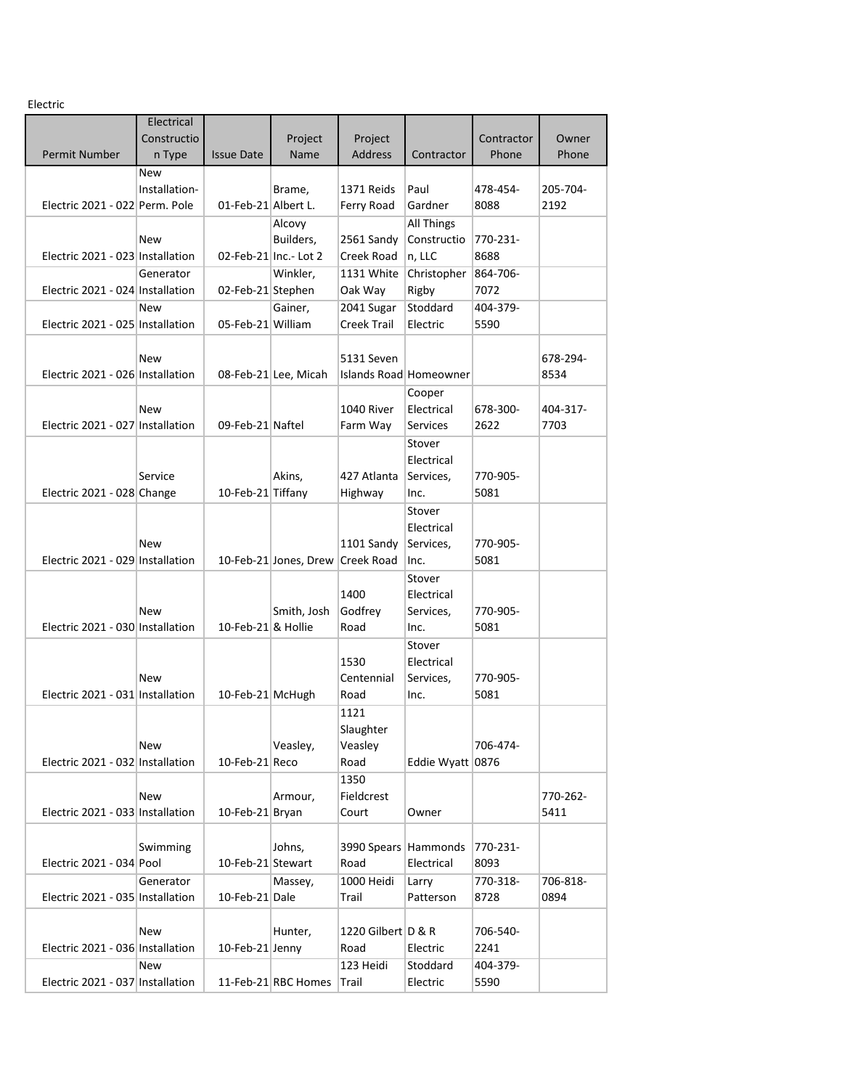Electric

| LIECUIC                          |               |                     |                       |                      |                        |            |          |
|----------------------------------|---------------|---------------------|-----------------------|----------------------|------------------------|------------|----------|
|                                  | Electrical    |                     |                       |                      |                        |            |          |
|                                  | Constructio   |                     | Project               | Project              |                        | Contractor | Owner    |
| Permit Number                    | n Type        | <b>Issue Date</b>   | Name                  | <b>Address</b>       | Contractor             | Phone      | Phone    |
|                                  | New           |                     |                       |                      |                        |            |          |
|                                  | Installation- |                     | Brame,                | 1371 Reids           | Paul                   | 478-454-   | 205-704- |
| Electric 2021 - 022 Perm. Pole   |               | 01-Feb-21 Albert L. |                       | Ferry Road           | Gardner                | 8088       | 2192     |
|                                  |               |                     | Alcovy                |                      | All Things             |            |          |
|                                  | New           |                     | Builders,             | 2561 Sandy           | Constructio            | 770-231-   |          |
| Electric 2021 - 023 Installation |               |                     | 02-Feb-21 Inc.- Lot 2 | Creek Road           | n, LLC                 | 8688       |          |
|                                  | Generator     |                     | Winkler,              | 1131 White           | Christopher            | 864-706-   |          |
| Electric 2021 - 024 Installation |               | 02-Feb-21 Stephen   |                       | Oak Way              | Rigby                  | 7072       |          |
|                                  | <b>New</b>    |                     | Gainer,               | 2041 Sugar           | Stoddard               | 404-379-   |          |
|                                  |               |                     |                       |                      |                        |            |          |
| Electric 2021 - 025 Installation |               | 05-Feb-21 William   |                       | Creek Trail          | Electric               | 5590       |          |
|                                  |               |                     |                       |                      |                        |            |          |
|                                  | New           |                     |                       | 5131 Seven           |                        |            | 678-294- |
| Electric 2021 - 026 Installation |               |                     | 08-Feb-21 Lee, Micah  |                      | Islands Road Homeowner |            | 8534     |
|                                  |               |                     |                       |                      | Cooper                 |            |          |
|                                  | New           |                     |                       | 1040 River           | Electrical             | 678-300-   | 404-317- |
| Electric 2021 - 027 Installation |               | 09-Feb-21 Naftel    |                       | Farm Way             | Services               | 2622       | 7703     |
|                                  |               |                     |                       |                      | Stover                 |            |          |
|                                  |               |                     |                       |                      | Electrical             |            |          |
|                                  | Service       |                     | Akins,                | 427 Atlanta          | Services,              | 770-905-   |          |
| Electric 2021 - 028 Change       |               | 10-Feb-21 Tiffany   |                       | Highway              | Inc.                   | 5081       |          |
|                                  |               |                     |                       |                      | Stover                 |            |          |
|                                  |               |                     |                       |                      | Electrical             |            |          |
|                                  | New           |                     |                       | 1101 Sandy           | Services,              | 770-905-   |          |
| Electric 2021 - 029 Installation |               |                     | 10-Feb-21 Jones, Drew | Creek Road           | Inc.                   | 5081       |          |
|                                  |               |                     |                       |                      | Stover                 |            |          |
|                                  |               |                     |                       | 1400                 | Electrical             |            |          |
|                                  | New           |                     | Smith, Josh           | Godfrey              | Services,              | 770-905-   |          |
| Electric 2021 - 030 Installation |               | 10-Feb-21 & Hollie  |                       | Road                 |                        | 5081       |          |
|                                  |               |                     |                       |                      | Inc.                   |            |          |
|                                  |               |                     |                       |                      | Stover                 |            |          |
|                                  |               |                     |                       | 1530                 | Electrical             |            |          |
|                                  | New           |                     |                       | Centennial           | Services,              | 770-905-   |          |
| Electric 2021 - 031 Installation |               | 10-Feb-21 McHugh    |                       | Road                 | Inc.                   | 5081       |          |
|                                  |               |                     |                       | 1121                 |                        |            |          |
|                                  |               |                     |                       | Slaughter            |                        |            |          |
|                                  | New           |                     | Veasley,              | Veasley              |                        | 706-474-   |          |
| Electric 2021 - 032 Installation |               | 10-Feb-21 Reco      |                       | Road                 | Eddie Wyatt 0876       |            |          |
|                                  |               |                     |                       | 1350                 |                        |            |          |
|                                  | <b>New</b>    |                     | Armour,               | Fieldcrest           |                        |            | 770-262- |
| Electric 2021 - 033 Installation |               | 10-Feb-21 Bryan     |                       | Court                | Owner                  |            | 5411     |
|                                  |               |                     |                       |                      |                        |            |          |
|                                  | Swimming      |                     | Johns,                | 3990 Spears Hammonds |                        | 770-231-   |          |
| Electric 2021 - 034 Pool         |               | 10-Feb-21 Stewart   |                       | Road                 | Electrical             | 8093       |          |
|                                  | Generator     |                     | Massey,               | 1000 Heidi           | Larry                  | 770-318-   | 706-818- |
| Electric 2021 - 035 Installation |               | 10-Feb-21 Dale      |                       | Trail                | Patterson              | 8728       | 0894     |
|                                  |               |                     |                       |                      |                        |            |          |
|                                  | New           |                     | Hunter,               | 1220 Gilbert D & R   |                        | 706-540-   |          |
| Electric 2021 - 036 Installation |               | 10-Feb-21 Jenny     |                       | Road                 | Electric               | 2241       |          |
|                                  |               |                     |                       |                      |                        |            |          |
|                                  | <b>New</b>    |                     |                       | 123 Heidi            | Stoddard               | 404-379-   |          |
| Electric 2021 - 037 Installation |               |                     | 11-Feb-21 RBC Homes   | Trail                | Electric               | 5590       |          |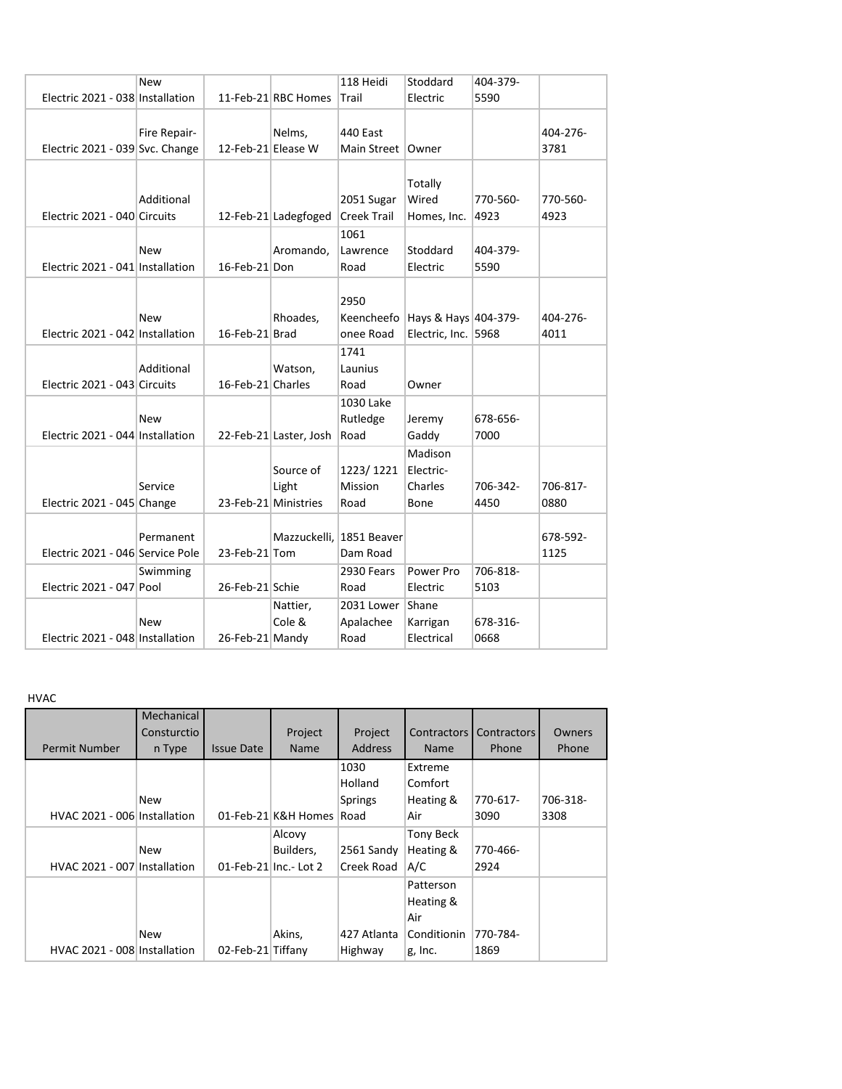|                                  | <b>New</b>   |                    |                        | 118 Heidi                | Stoddard                        | 404-379- |          |
|----------------------------------|--------------|--------------------|------------------------|--------------------------|---------------------------------|----------|----------|
| Electric 2021 - 038 Installation |              |                    | 11-Feb-21 RBC Homes    | Trail                    | Electric                        | 5590     |          |
|                                  |              |                    |                        |                          |                                 |          |          |
|                                  | Fire Repair- |                    | Nelms,                 | 440 East                 |                                 |          | 404-276- |
| Electric 2021 - 039 Svc. Change  |              | 12-Feb-21 Elease W |                        | Main Street   Owner      |                                 |          | 3781     |
|                                  |              |                    |                        |                          |                                 |          |          |
|                                  |              |                    |                        |                          | Totally                         |          |          |
|                                  | Additional   |                    |                        | 2051 Sugar               | Wired                           | 770-560- | 770-560- |
| Electric 2021 - 040 Circuits     |              |                    | 12-Feb-21 Ladegfoged   | Creek Trail              | Homes, Inc.                     | 4923     | 4923     |
|                                  |              |                    |                        | 1061                     |                                 |          |          |
|                                  | New          |                    | Aromando,              | Lawrence                 | Stoddard                        | 404-379- |          |
| Electric 2021 - 041 Installation |              | 16-Feb-21 Don      |                        | Road                     | Electric                        | 5590     |          |
|                                  |              |                    |                        |                          |                                 |          |          |
|                                  |              |                    |                        | 2950                     |                                 |          |          |
|                                  | <b>New</b>   |                    | Rhoades,               |                          | Keencheefo Hays & Hays 404-379- |          | 404-276- |
| Electric 2021 - 042 Installation |              | 16-Feb-21 Brad     |                        | onee Road                | Electric, Inc. 5968             |          | 4011     |
|                                  |              |                    |                        | 1741                     |                                 |          |          |
|                                  | Additional   |                    | Watson,                | Launius                  |                                 |          |          |
| Electric 2021 - 043 Circuits     |              | 16-Feb-21 Charles  |                        | Road                     | Owner                           |          |          |
|                                  |              |                    |                        | 1030 Lake                |                                 |          |          |
|                                  | New          |                    |                        | Rutledge                 | Jeremy                          | 678-656- |          |
| Electric 2021 - 044 Installation |              |                    | 22-Feb-21 Laster, Josh | Road                     | Gaddy                           | 7000     |          |
|                                  |              |                    |                        |                          | Madison                         |          |          |
|                                  |              |                    | Source of              | 1223/1221                | Electric-                       |          |          |
|                                  | Service      |                    | Light                  | <b>Mission</b>           | Charles                         | 706-342- | 706-817- |
| Electric 2021 - 045 Change       |              |                    | 23-Feb-21 Ministries   | Road                     | Bone                            | 4450     | 0880     |
|                                  |              |                    |                        |                          |                                 |          |          |
|                                  | Permanent    |                    |                        | Mazzuckelli. 1851 Beaver |                                 |          | 678-592- |
| Electric 2021 - 046 Service Pole |              | 23-Feb-21 Tom      |                        | Dam Road                 |                                 |          | 1125     |
|                                  | Swimming     |                    |                        | 2930 Fears               | Power Pro                       | 706-818- |          |
| Electric 2021 - 047 Pool         |              | 26-Feb-21 Schie    |                        | Road                     | Electric                        | 5103     |          |
|                                  |              |                    | Nattier,               | 2031 Lower Shane         |                                 |          |          |
|                                  | New          |                    | Cole &                 | Apalachee                | Karrigan                        | 678-316- |          |
| Electric 2021 - 048 Installation |              | 26-Feb-21 Mandy    |                        | Road                     | Electrical                      | 0668     |          |

HVAC

|                              | Mechanical  |                   |                         |                |                    |                    |          |
|------------------------------|-------------|-------------------|-------------------------|----------------|--------------------|--------------------|----------|
|                              | Consturctio |                   | Project                 | Project        | <b>Contractors</b> | <b>Contractors</b> | Owners   |
| Permit Number                | n Type      | <b>Issue Date</b> | <b>Name</b>             | <b>Address</b> | <b>Name</b>        | Phone              | Phone    |
|                              |             |                   |                         | 1030           | Extreme            |                    |          |
|                              |             |                   |                         | Holland        | Comfort            |                    |          |
|                              | New         |                   |                         | <b>Springs</b> | Heating &          | 770-617-           | 706-318- |
| HVAC 2021 - 006 Installation |             |                   | 01-Feb-21 K&H Homes     | Road           | Air                | 3090               | 3308     |
|                              |             |                   | Alcovy                  |                | Tony Beck          |                    |          |
|                              | New         |                   | Builders,               | 2561 Sandy     | Heating &          | 770-466-           |          |
| HVAC 2021 - 007 Installation |             |                   | $01$ -Feb-21 Inc.-Lot 2 | Creek Road     | A/C                | 2924               |          |
|                              |             |                   |                         |                | Patterson          |                    |          |
|                              |             |                   |                         |                | Heating &          |                    |          |
|                              |             |                   |                         |                | Air                |                    |          |
|                              | New         |                   | Akins,                  | 427 Atlanta    | Conditionin        | 770-784-           |          |
| HVAC 2021 - 008 Installation |             | 02-Feb-21 Tiffany |                         | Highway        | g, Inc.            | 1869               |          |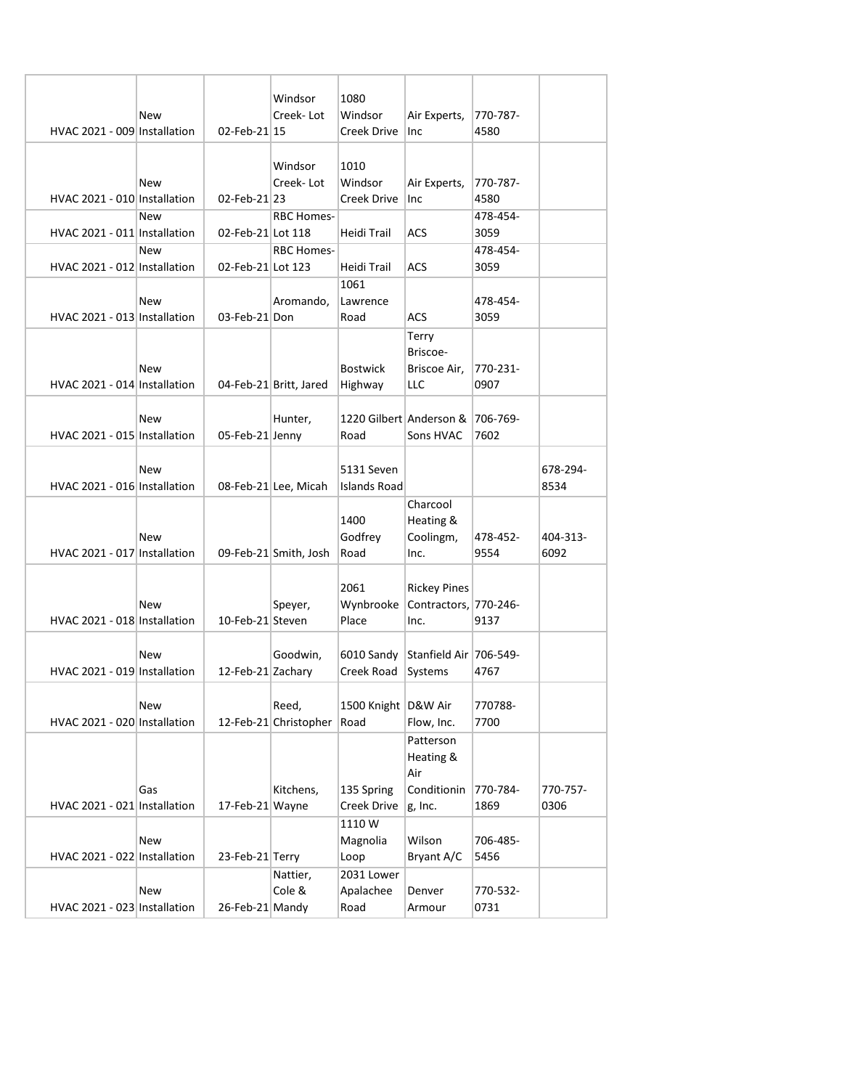|                              | New        |                   | Windsor<br>Creek-Lot   | 1080<br>Windsor       | Air Experts,            | 770-787-         |          |
|------------------------------|------------|-------------------|------------------------|-----------------------|-------------------------|------------------|----------|
| HVAC 2021 - 009 Installation |            | 02-Feb-21 15      |                        | Creek Drive           | Inc                     | 4580             |          |
|                              |            |                   |                        |                       |                         |                  |          |
|                              |            |                   | Windsor                | 1010                  |                         |                  |          |
|                              | New        |                   | Creek-Lot              | Windsor               | Air Experts,            | 770-787-         |          |
| HVAC 2021 - 010 Installation |            | 02-Feb-21 23      |                        | Creek Drive           | Inc                     | 4580             |          |
|                              | <b>New</b> |                   | <b>RBC Homes-</b>      |                       |                         | 478-454-         |          |
| HVAC 2021 - 011 Installation |            | 02-Feb-21 Lot 118 |                        | Heidi Trail           | <b>ACS</b>              | 3059             |          |
|                              | New        |                   | <b>RBC Homes-</b>      |                       |                         | 478-454-         |          |
| HVAC 2021 - 012 Installation |            | 02-Feb-21 Lot 123 |                        | Heidi Trail           | <b>ACS</b>              | 3059             |          |
|                              |            |                   |                        | 1061                  |                         |                  |          |
|                              | New        |                   | Aromando,              | Lawrence              |                         | 478-454-         |          |
| HVAC 2021 - 013 Installation |            | 03-Feb-21 Don     |                        | Road                  | ACS                     | 3059             |          |
|                              |            |                   |                        |                       | Terry                   |                  |          |
|                              |            |                   |                        |                       | Briscoe-                |                  |          |
|                              | <b>New</b> |                   |                        | <b>Bostwick</b>       | Briscoe Air,            | 770-231-         |          |
| HVAC 2021 - 014 Installation |            |                   | 04-Feb-21 Britt, Jared | Highway               | <b>LLC</b>              | 0907             |          |
|                              |            |                   |                        |                       |                         |                  |          |
|                              | <b>New</b> |                   | Hunter,                |                       | 1220 Gilbert Anderson & | 706-769-         |          |
| HVAC 2021 - 015 Installation |            | 05-Feb-21 Jenny   |                        | Road                  | Sons HVAC               | 7602             |          |
|                              | <b>New</b> |                   |                        | 5131 Seven            |                         |                  | 678-294- |
| HVAC 2021 - 016 Installation |            |                   | 08-Feb-21 Lee, Micah   | <b>Islands Road</b>   |                         |                  | 8534     |
|                              |            |                   |                        |                       | Charcool                |                  |          |
|                              |            |                   |                        | 1400                  | Heating &               |                  |          |
|                              | New        |                   |                        | Godfrey               | Coolingm,               | 478-452-         | 404-313- |
| HVAC 2021 - 017 Installation |            |                   | 09-Feb-21 Smith, Josh  | Road                  | Inc.                    | 9554             | 6092     |
|                              |            |                   |                        |                       |                         |                  |          |
|                              |            |                   |                        | 2061                  | <b>Rickey Pines</b>     |                  |          |
|                              | <b>New</b> |                   | Speyer,                | Wynbrooke             | Contractors. 770-246-   |                  |          |
| HVAC 2021 - 018 Installation |            | 10-Feb-21 Steven  |                        | Place                 | Inc.                    | 9137             |          |
|                              |            |                   |                        |                       |                         |                  |          |
|                              | New        |                   | Goodwin,               | 6010 Sandy            | Stanfield Air 706-549-  |                  |          |
| HVAC 2021 - 019 Installation |            | 12-Feb-21 Zachary |                        | Creek Road            | Systems                 | 4767             |          |
|                              |            |                   |                        |                       |                         |                  |          |
|                              | New        |                   | Reed,                  | 1500 Knight   D&W Air |                         | 770788-          |          |
| HVAC 2021 - 020 Installation |            |                   | 12-Feb-21 Christopher  | Road                  | Flow, Inc.              | 7700             |          |
|                              |            |                   |                        |                       | Patterson               |                  |          |
|                              |            |                   |                        |                       | Heating &               |                  |          |
|                              |            |                   |                        |                       | Air                     |                  |          |
|                              | Gas        |                   | Kitchens,              | 135 Spring            | Conditionin             | 770-784-         | 770-757- |
| HVAC 2021 - 021 Installation |            | 17-Feb-21 Wayne   |                        | Creek Drive           | g, Inc.                 | 1869             | 0306     |
|                              |            |                   |                        | 1110W                 |                         |                  |          |
| HVAC 2021 - 022 Installation | New        | 23-Feb-21 Terry   |                        | Magnolia<br>Loop      | Wilson<br>Bryant A/C    | 706-485-<br>5456 |          |
|                              |            |                   | Nattier,               | 2031 Lower            |                         |                  |          |
|                              | New        |                   | Cole &                 | Apalachee             | Denver                  | 770-532-         |          |
| HVAC 2021 - 023 Installation |            | 26-Feb-21 Mandy   |                        | Road                  | Armour                  | 0731             |          |
|                              |            |                   |                        |                       |                         |                  |          |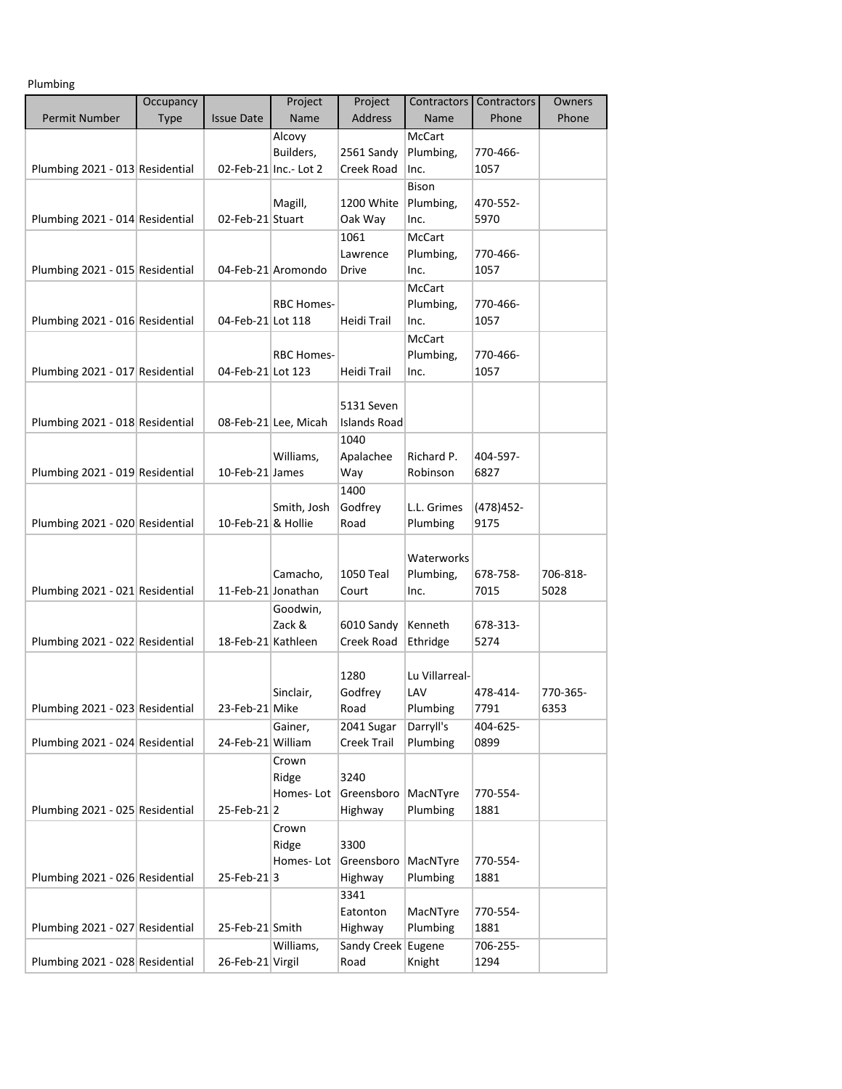Plumbing

|                                 | Occupancy   |                    | Project               | Project                  | Contractors    | Contractors | Owners           |
|---------------------------------|-------------|--------------------|-----------------------|--------------------------|----------------|-------------|------------------|
| <b>Permit Number</b>            | <b>Type</b> | <b>Issue Date</b>  | Name                  | <b>Address</b>           | Name           | Phone       | Phone            |
|                                 |             |                    | Alcovy                |                          | <b>McCart</b>  |             |                  |
|                                 |             |                    | Builders,             | 2561 Sandy               | Plumbing,      | 770-466-    |                  |
| Plumbing 2021 - 013 Residential |             |                    | 02-Feb-21 Inc.- Lot 2 | Creek Road               | Inc.           | 1057        |                  |
|                                 |             |                    |                       |                          | <b>Bison</b>   |             |                  |
|                                 |             |                    | Magill,               | 1200 White               | Plumbing,      | 470-552-    |                  |
| Plumbing 2021 - 014 Residential |             | 02-Feb-21 Stuart   |                       | Oak Way                  | Inc.           | 5970        |                  |
|                                 |             |                    |                       | 1061                     | <b>McCart</b>  |             |                  |
|                                 |             |                    |                       | Lawrence                 | Plumbing,      | 770-466-    |                  |
| Plumbing 2021 - 015 Residential |             |                    | 04-Feb-21 Aromondo    | Drive                    | Inc.           | 1057        |                  |
|                                 |             |                    |                       |                          | <b>McCart</b>  |             |                  |
|                                 |             |                    | <b>RBC Homes-</b>     |                          | Plumbing,      | 770-466-    |                  |
| Plumbing 2021 - 016 Residential |             | 04-Feb-21 Lot 118  |                       | Heidi Trail              | Inc.           | 1057        |                  |
|                                 |             |                    |                       |                          | <b>McCart</b>  |             |                  |
|                                 |             |                    | <b>RBC Homes-</b>     |                          | Plumbing,      | 770-466-    |                  |
| Plumbing 2021 - 017 Residential |             | 04-Feb-21 Lot 123  |                       | Heidi Trail              | Inc.           | 1057        |                  |
|                                 |             |                    |                       |                          |                |             |                  |
|                                 |             |                    |                       | 5131 Seven               |                |             |                  |
| Plumbing 2021 - 018 Residential |             |                    | 08-Feb-21 Lee, Micah  | <b>Islands Road</b>      |                |             |                  |
|                                 |             |                    |                       | 1040                     |                |             |                  |
|                                 |             |                    | Williams,             | Apalachee                | Richard P.     | 404-597-    |                  |
| Plumbing 2021 - 019 Residential |             | 10-Feb-21 James    |                       | Way                      | Robinson       | 6827        |                  |
|                                 |             |                    |                       | 1400                     |                |             |                  |
|                                 |             |                    | Smith, Josh           | Godfrey                  | L.L. Grimes    | (478) 452-  |                  |
| Plumbing 2021 - 020 Residential |             | 10-Feb-21 & Hollie |                       | Road                     | Plumbing       | 9175        |                  |
|                                 |             |                    |                       |                          |                |             |                  |
|                                 |             |                    |                       |                          | Waterworks     |             |                  |
|                                 |             |                    | Camacho,              | 1050 Teal                | Plumbing,      | 678-758-    | 706-818-<br>5028 |
| Plumbing 2021 - 021 Residential |             | 11-Feb-21 Jonathan |                       | Court                    | Inc.           | 7015        |                  |
|                                 |             |                    | Goodwin,<br>Zack &    |                          | Kenneth        | 678-313-    |                  |
| Plumbing 2021 - 022 Residential |             | 18-Feb-21 Kathleen |                       | 6010 Sandy<br>Creek Road | Ethridge       | 5274        |                  |
|                                 |             |                    |                       |                          |                |             |                  |
|                                 |             |                    |                       | 1280                     | Lu Villarreal- |             |                  |
|                                 |             |                    | Sinclair,             | Godfrey                  | LAV            | 478-414-    | 770-365-         |
| Plumbing 2021 - 023 Residential |             | 23-Feb-21 Mike     |                       | Road                     | Plumbing       | 7791        | 6353             |
|                                 |             |                    | Gainer,               | 2041 Sugar               | Darryll's      | 404-625-    |                  |
| Plumbing 2021 - 024 Residential |             | 24-Feb-21 William  |                       | Creek Trail              | Plumbing       | 0899        |                  |
|                                 |             |                    | Crown                 |                          |                |             |                  |
|                                 |             |                    | Ridge                 | 3240                     |                |             |                  |
|                                 |             |                    | Homes-Lot             | Greensboro               | MacNTyre       | 770-554-    |                  |
| Plumbing 2021 - 025 Residential |             | 25-Feb-212         |                       | Highway                  | Plumbing       | 1881        |                  |
|                                 |             |                    | Crown                 |                          |                |             |                  |
|                                 |             |                    | Ridge                 | 3300                     |                |             |                  |
|                                 |             |                    | Homes-Lot             | Greensboro               | MacNTyre       | 770-554-    |                  |
| Plumbing 2021 - 026 Residential |             | 25-Feb-213         |                       | Highway                  | Plumbing       | 1881        |                  |
|                                 |             |                    |                       | 3341                     |                |             |                  |
|                                 |             |                    |                       | Eatonton                 | MacNTyre       | 770-554-    |                  |
| Plumbing 2021 - 027 Residential |             | 25-Feb-21 Smith    |                       | Highway                  | Plumbing       | 1881        |                  |
|                                 |             |                    | Williams,             | Sandy Creek Eugene       |                | 706-255-    |                  |
| Plumbing 2021 - 028 Residential |             | 26-Feb-21 Virgil   |                       | Road                     | Knight         | 1294        |                  |